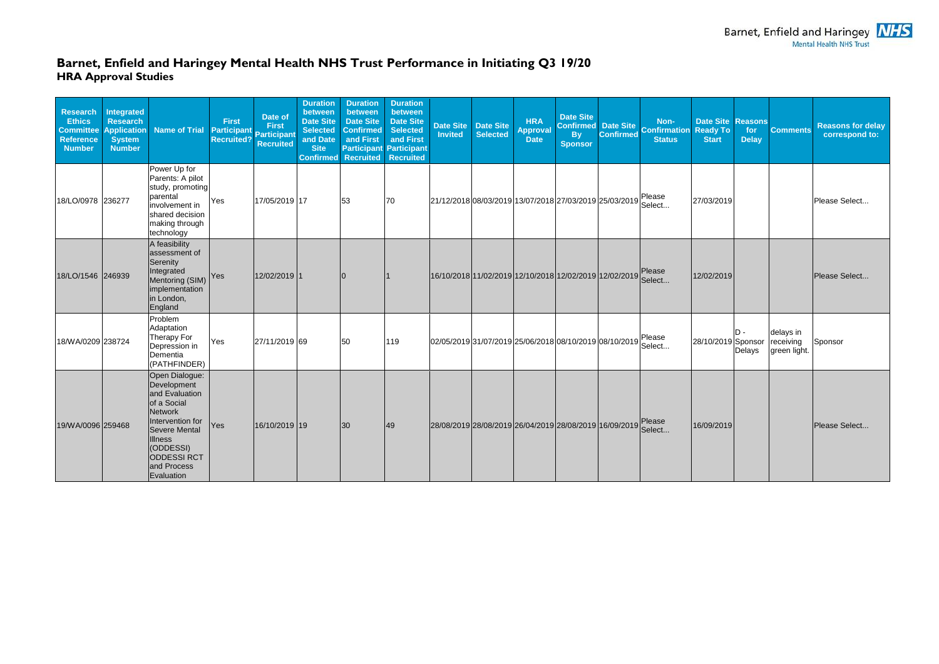## **Barnet, Enfield and Haringey Mental Health NHS Trust Performance in Initiating Q3 19/20 HRA Approval Studies**

| <b>Research</b><br><b>Ethics</b><br><b>Committee</b><br><b>Reference</b><br><b>Number</b> | <b>Integrated</b><br><b>Research</b><br><b>Application</b><br><b>System</b><br><b>Number</b> | Name of Trial                                                                                                                                                                                   | <b>First</b><br>Participant<br><b>Recruited?</b> | Date of<br><b>First</b><br><b>Participant</b><br><b>Recruited</b> | <b>Duration</b><br>between<br><b>Date Site</b><br><b>Selected</b><br>and Date<br><b>Site</b><br><b>Confirmed</b> | <b>Duration</b><br>between<br><b>Date Site</b><br><b>Confirmed</b><br>and First<br><b>Participant</b><br><b>Recruited</b> | <b>Duration</b><br>between<br><b>Date Site</b><br><b>Selected</b><br>and First<br><b>Participant</b><br><b>Recruited</b> | <b>Date Site</b><br><b>Invited</b>                            | <b>Date Site</b><br>Selected | <b>HRA</b><br><b>Approval</b><br><b>Date</b> | <b>Date Site</b><br><b>By</b><br><b>Sponsor</b>               | <b>Confirmed</b> | Non-<br>Confirmed Date Site<br>Confirmed Date Site<br><b>Status</b> | <b>Date Site</b><br><b>Ready To</b><br><b>Start</b> | <b>Reasons</b><br>for<br><b>Delay</b> | <b>Comments</b>                        | <b>Reasons for delay</b><br>correspond to: |
|-------------------------------------------------------------------------------------------|----------------------------------------------------------------------------------------------|-------------------------------------------------------------------------------------------------------------------------------------------------------------------------------------------------|--------------------------------------------------|-------------------------------------------------------------------|------------------------------------------------------------------------------------------------------------------|---------------------------------------------------------------------------------------------------------------------------|--------------------------------------------------------------------------------------------------------------------------|---------------------------------------------------------------|------------------------------|----------------------------------------------|---------------------------------------------------------------|------------------|---------------------------------------------------------------------|-----------------------------------------------------|---------------------------------------|----------------------------------------|--------------------------------------------|
| 18/LO/0978 236277                                                                         |                                                                                              | Power Up for<br>Parents: A pilot<br>study, promoting<br>parental<br>involvement in<br>shared decision<br>making through<br>technology                                                           | Yes                                              | 17/05/2019 17                                                     |                                                                                                                  | 53                                                                                                                        | 70                                                                                                                       | 21/12/2018 08/03/2019 13/07/2018 27/03/2019 25/03/2019 Select |                              |                                              |                                                               |                  |                                                                     | 27/03/2019                                          |                                       |                                        | Please Select                              |
| 18/LO/1546 246939                                                                         |                                                                                              | A feasibility<br>assessment of<br>Serenity<br>Integrated<br>Mentoring (SIM)<br>implementation<br>in London,<br>England                                                                          | Yes                                              | 12/02/2019 1                                                      |                                                                                                                  | $\Omega$                                                                                                                  |                                                                                                                          |                                                               |                              |                                              | 16/10/2018 11/02/2019 12/10/2018 12/02/2019 12/02/2019 Please |                  | Select                                                              | 12/02/2019                                          |                                       |                                        | Please Select                              |
| 18/WA/0209 238724                                                                         |                                                                                              | Problem<br>Adaptation<br>Therapy For<br>Depression in<br>Dementia<br>(PATHFINDER)                                                                                                               | Yes                                              | 27/11/2019 69                                                     |                                                                                                                  | 50                                                                                                                        | 119                                                                                                                      |                                                               |                              |                                              | 02/05/2019 31/07/2019 25/06/2018 08/10/2019 08/10/2019        |                  | Please<br>Select                                                    | 28/10/2019 Sponsor                                  | D -<br>Delays                         | delays in<br>receiving<br>green light. | Sponsor                                    |
| 19/WA/0096 259468                                                                         |                                                                                              | Open Dialogue:<br>Development<br>and Evaluation<br>of a Social<br>Network<br>Intervention for<br>Severe Mental<br><b>Illness</b><br>(ODDESSI)<br><b>ODDESSIRCT</b><br>and Process<br>Evaluation | <b>Yes</b>                                       | 16/10/2019 19                                                     |                                                                                                                  | 30                                                                                                                        | 49                                                                                                                       | 28/08/2019 28/08/2019 26/04/2019 28/08/2019 16/09/2019        |                              |                                              |                                                               |                  | Please<br>Select                                                    | 16/09/2019                                          |                                       |                                        | Please Select                              |